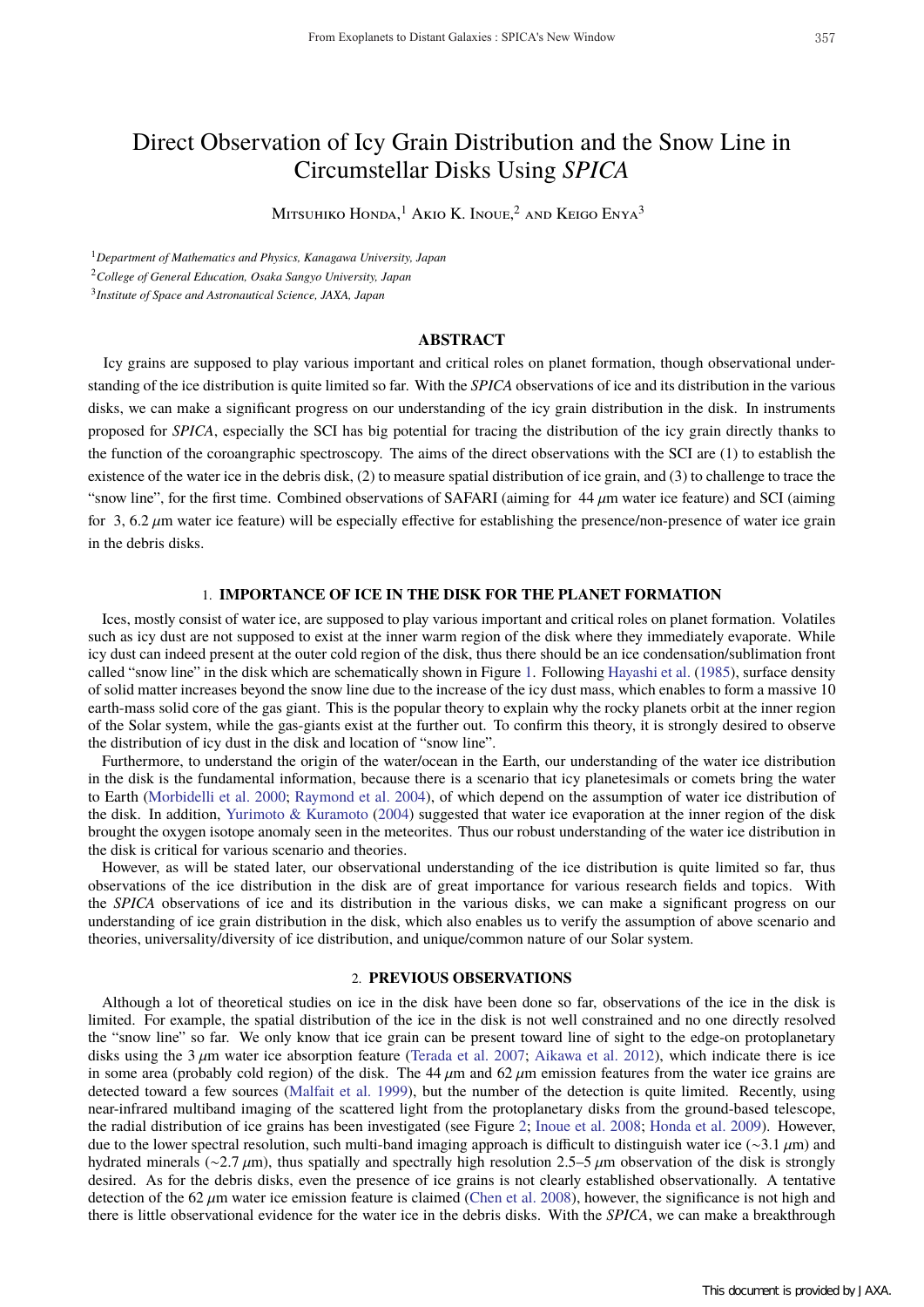# Direct Observation of Icy Grain Distribution and the Snow Line in Circumstellar Disks Using *SPICA*

Mitsuhiko Honda,<sup>1</sup> Akio K. Inoue,<sup>2</sup> and Keigo Enya<sup>3</sup>

<sup>1</sup>*Department of Mathematics and Physics, Kanagawa University, Japan*

<sup>2</sup>*College of General Education, Osaka Sangyo University, Japan*

<sup>3</sup>*Institute of Space and Astronautical Science, JAXA, Japan*

## **ABSTRACT**

Icy grains are supposed to play various important and critical roles on planet formation, though observational understanding of the ice distribution is quite limited so far. With the *SPICA* observations of ice and its distribution in the various disks, we can make a significant progress on our understanding of the icy grain distribution in the disk. In instruments proposed for *SPICA*, especially the SCI has big potential for tracing the distribution of the icy grain directly thanks to the function of the coroangraphic spectroscopy. The aims of the direct observations with the SCI are (1) to establish the existence of the water ice in the debris disk, (2) to measure spatial distribution of ice grain, and (3) to challenge to trace the "snow line", for the first time. Combined observations of SAFARI (aiming for  $44 \mu m$  water ice feature) and SCI (aiming for 3, 6.2  $\mu$ m water ice feature) will be especially effective for establishing the presence/non-presence of water ice grain in the debris disks.

### 1. **IMPORTANCE OF ICE IN THE DISK FOR THE PLANET FORMATION**

Ices, mostly consist of water ice, are supposed to play various important and critical roles on planet formation. Volatiles such as icy dust are not supposed to exist at the inner warm region of the disk where they immediately evaporate. While icy dust can indeed present at the outer cold region of the disk, thus there should be an ice condensation/sublimation front called "snow line" in the disk which are schematically shown in Figure 1. Following Hayashi et al. (1985), surface density of solid matter increases beyond the snow line due to the increase of the icy dust mass, which enables to form a massive 10 earth-mass solid core of the gas giant. This is the popular theory to explain why the rocky planets orbit at the inner region of the Solar system, while the gas-giants exist at the further out. To confirm this theory, it is strongly desired to observe the distribution of icy dust in the disk and location of "snow line".

Furthermore, to understand the origin of the water/ocean in the Earth, our understanding of the water ice distribution in the disk is the fundamental information, because there is a scenario that icy planetesimals or comets bring the water to Earth (Morbidelli et al. 2000; Raymond et al. 2004), of which depend on the assumption of water ice distribution of the disk. In addition, Yurimoto & Kuramoto (2004) suggested that water ice evaporation at the inner region of the disk brought the oxygen isotope anomaly seen in the meteorites. Thus our robust understanding of the water ice distribution in the disk is critical for various scenario and theories.

However, as will be stated later, our observational understanding of the ice distribution is quite limited so far, thus observations of the ice distribution in the disk are of great importance for various research fields and topics. With the *SPICA* observations of ice and its distribution in the various disks, we can make a significant progress on our understanding of ice grain distribution in the disk, which also enables us to verify the assumption of above scenario and theories, universality/diversity of ice distribution, and unique/common nature of our Solar system.

# 2. **PREVIOUS OBSERVATIONS**

Although a lot of theoretical studies on ice in the disk have been done so far, observations of the ice in the disk is limited. For example, the spatial distribution of the ice in the disk is not well constrained and no one directly resolved the "snow line" so far. We only know that ice grain can be present toward line of sight to the edge-on protoplanetary disks using the  $3 \mu$ m water ice absorption feature (Terada et al. 2007; Aikawa et al. 2012), which indicate there is ice in some area (probably cold region) of the disk. The  $44 \mu m$  and  $62 \mu m$  emission features from the water ice grains are detected toward a few sources (Malfait et al. 1999), but the number of the detection is quite limited. Recently, using near-infrared multiband imaging of the scattered light from the protoplanetary disks from the ground-based telescope, the radial distribution of ice grains has been investigated (see Figure 2; Inoue et al. 2008; Honda et al. 2009). However, due to the lower spectral resolution, such multi-band imaging approach is difficult to distinguish water ice (∼3.1 µm) and hydrated minerals (∼2.7 µm), thus spatially and spectrally high resolution 2.5–5 µm observation of the disk is strongly desired. As for the debris disks, even the presence of ice grains is not clearly established observationally. A tentative detection of the  $62 \mu m$  water ice emission feature is claimed (Chen et al. 2008), however, the significance is not high and there is little observational evidence for the water ice in the debris disks. With the *SPICA*, we can make a breakthrough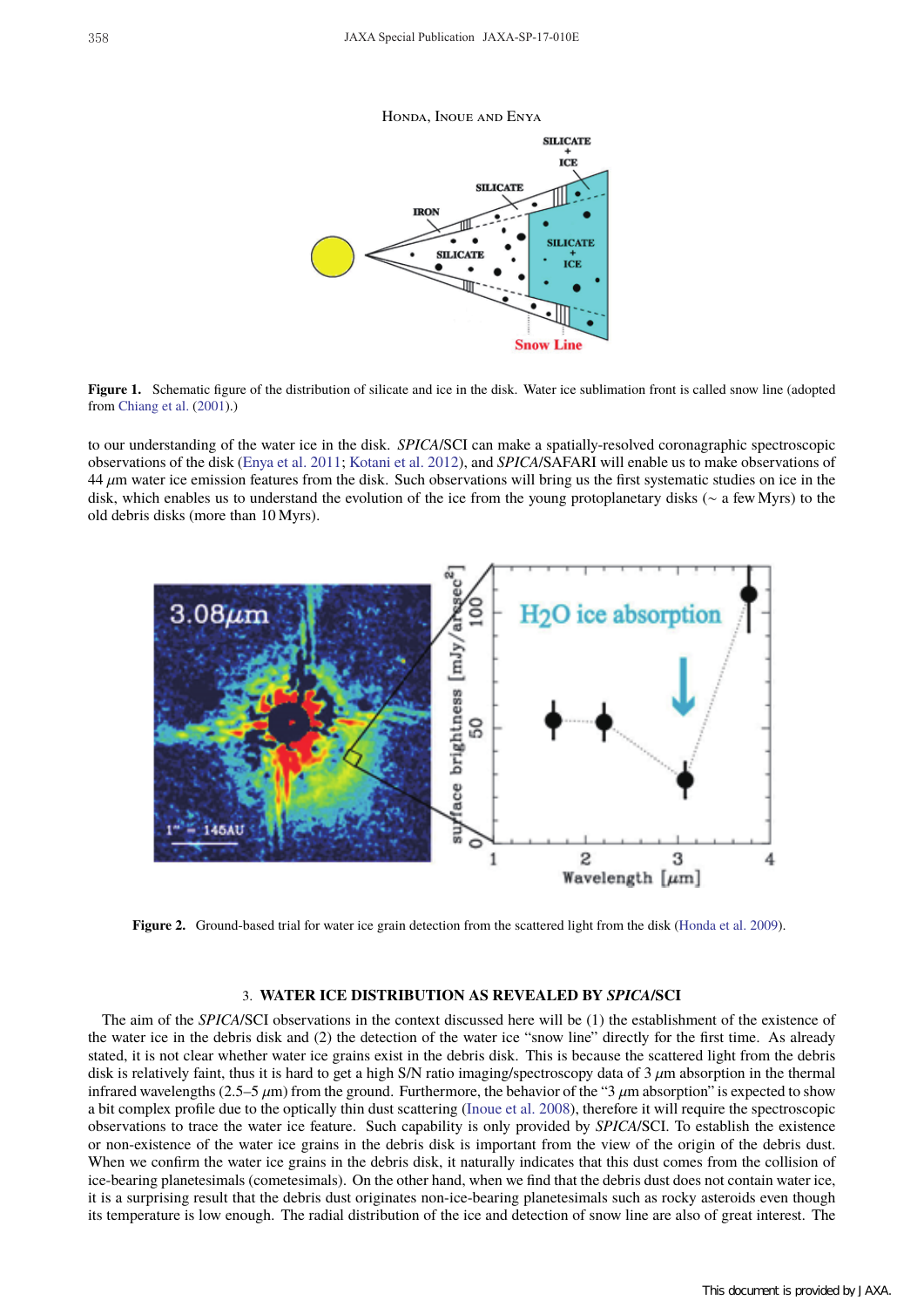



**Figure 1.** Schematic figure of the distribution of silicate and ice in the disk. Water ice sublimation front is called snow line (adopted from Chiang et al. (2001).)

to our understanding of the water ice in the disk. *SPICA*/SCI can make a spatially-resolved coronagraphic spectroscopic observations of the disk (Enya et al. 2011; Kotani et al. 2012), and *SPICA*/SAFARI will enable us to make observations of  $44 \mu$ m water ice emission features from the disk. Such observations will bring us the first systematic studies on ice in the disk, which enables us to understand the evolution of the ice from the young protoplanetary disks (∼ a few Myrs) to the old debris disks (more than 10 Myrs).



Figure 2. Ground-based trial for water ice grain detection from the scattered light from the disk (Honda et al. 2009).

## 3. **WATER ICE DISTRIBUTION AS REVEALED BY** *SPICA***/SCI**

The aim of the *SPICA*/SCI observations in the context discussed here will be (1) the establishment of the existence of the water ice in the debris disk and (2) the detection of the water ice "snow line" directly for the first time. As already stated, it is not clear whether water ice grains exist in the debris disk. This is because the scattered light from the debris disk is relatively faint, thus it is hard to get a high S/N ratio imaging/spectroscopy data of  $3 \mu$ m absorption in the thermal infrared wavelengths (2.5–5  $\mu$ m) from the ground. Furthermore, the behavior of the "3  $\mu$ m absorption" is expected to show a bit complex profile due to the optically thin dust scattering (Inoue et al. 2008), therefore it will require the spectroscopic observations to trace the water ice feature. Such capability is only provided by *SPICA*/SCI. To establish the existence or non-existence of the water ice grains in the debris disk is important from the view of the origin of the debris dust. When we confirm the water ice grains in the debris disk, it naturally indicates that this dust comes from the collision of ice-bearing planetesimals (cometesimals). On the other hand, when we find that the debris dust does not contain water ice, it is a surprising result that the debris dust originates non-ice-bearing planetesimals such as rocky asteroids even though its temperature is low enough. The radial distribution of the ice and detection of snow line are also of great interest. The